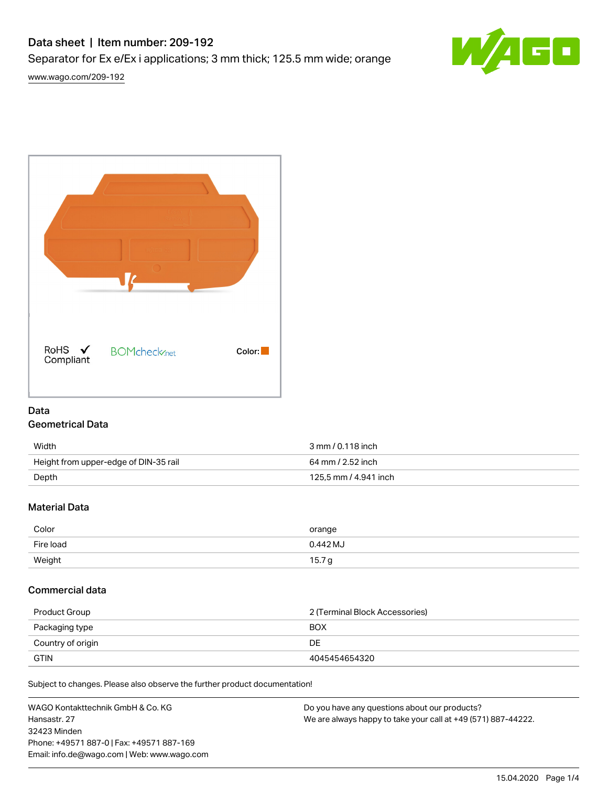# Data sheet | Item number: 209-192

Separator for Ex e/Ex i applications; 3 mm thick; 125.5 mm wide; orange



[www.wago.com/209-192](http://www.wago.com/209-192)



# Data

## Geometrical Data

| Width                                 | 3 mm / 0.118 inch     |
|---------------------------------------|-----------------------|
| Height from upper-edge of DIN-35 rail | 64 mm / 2.52 inch     |
| Depth                                 | 125.5 mm / 4.941 inch |

## Material Data

| Color     | orange            |
|-----------|-------------------|
| Fire load | $0.442$ MJ        |
| Weight    | 15.7 <sub>g</sub> |

## Commercial data

| Product Group     | 2 (Terminal Block Accessories) |
|-------------------|--------------------------------|
| Packaging type    | BOX                            |
| Country of origin | DE                             |
| <b>GTIN</b>       | 4045454654320                  |

Subject to changes. Please also observe the further product documentation!

WAGO Kontakttechnik GmbH & Co. KG Hansastr. 27 32423 Minden Phone: +49571 887-0 | Fax: +49571 887-169 Email: info.de@wago.com | Web: www.wago.com Do you have any questions about our products? We are always happy to take your call at +49 (571) 887-44222.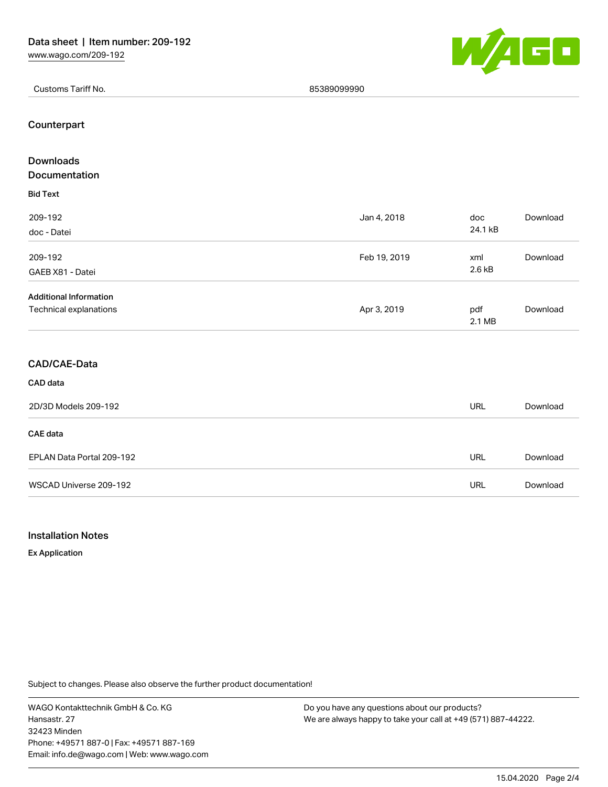

Customs Tariff No. 85389099990

#### Counterpart

| Downloads                     |              |               |          |
|-------------------------------|--------------|---------------|----------|
| Documentation                 |              |               |          |
| <b>Bid Text</b>               |              |               |          |
| 209-192                       | Jan 4, 2018  | doc           | Download |
| doc - Datei                   |              | 24.1 kB       |          |
| 209-192                       | Feb 19, 2019 | xml           | Download |
| GAEB X81 - Datei              |              | 2.6 kB        |          |
| <b>Additional Information</b> |              |               |          |
| Technical explanations        | Apr 3, 2019  | pdf<br>2.1 MB | Download |
| CAD/CAE-Data                  |              |               |          |
| CAD data                      |              |               |          |
| 2D/3D Models 209-192          |              | <b>URL</b>    | Download |
| <b>CAE</b> data               |              |               |          |
| EPLAN Data Portal 209-192     |              | <b>URL</b>    | Download |
| WSCAD Universe 209-192        |              | <b>URL</b>    | Download |

### Installation Notes

Ex Application

Subject to changes. Please also observe the further product documentation!

WAGO Kontakttechnik GmbH & Co. KG Hansastr. 27 32423 Minden Phone: +49571 887-0 | Fax: +49571 887-169 Email: info.de@wago.com | Web: www.wago.com

Do you have any questions about our products? We are always happy to take your call at +49 (571) 887-44222.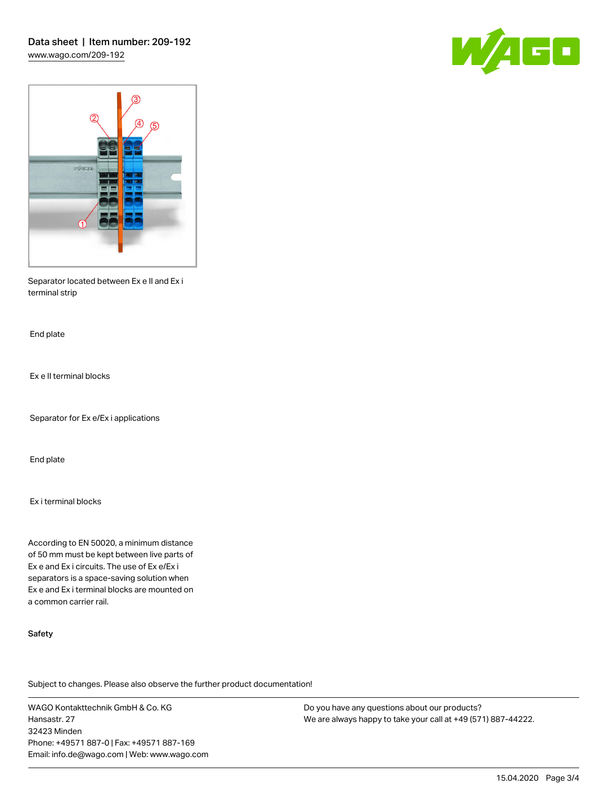



Separator located between Ex e II and Ex i terminal strip

End plate

Ex e II terminal blocks

Separator for Ex e/Ex i applications

End plate

Ex i terminal blocks

According to EN 50020, a minimum distance of 50 mm must be kept between live parts of Ex e and Ex i circuits. The use of Ex e/Ex i separators is a space-saving solution when Ex e and Ex i terminal blocks are mounted on a common carrier rail.

#### Safety

Subject to changes. Please also observe the further product documentation!

WAGO Kontakttechnik GmbH & Co. KG Hansastr. 27 32423 Minden Phone: +49571 887-0 | Fax: +49571 887-169 Email: info.de@wago.com | Web: www.wago.com Do you have any questions about our products? We are always happy to take your call at +49 (571) 887-44222.